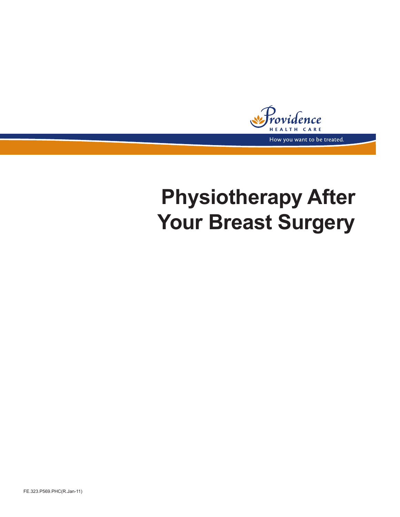nce A R E How you want to be treated.

# **Physiotherapy After Your Breast Surgery**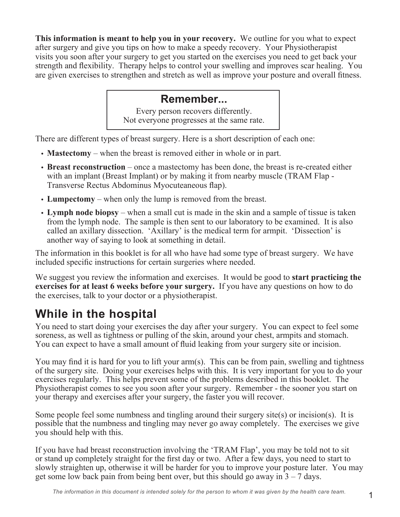**This information is meant to help you in your recovery.** We outline for you what to expect after surgery and give you tips on how to make a speedy recovery. Your Physiotherapist visits you soon after your surgery to get you started on the exercises you need to get back your strength and flexibility. Therapy helps to control your swelling and improves scar healing. You are given exercises to strengthen and stretch as well as improve your posture and overall fitness.

### **Remember...**

Every person recovers differently. Not everyone progresses at the same rate.

There are different types of breast surgery. Here is a short description of each one:

- **Mastectomy** when the breast is removed either in whole or in part.
- **• Breast reconstruction** once a mastectomy has been done, the breast is re-created either with an implant (Breast Implant) or by making it from nearby muscle (TRAM Flap -Transverse Rectus Abdominus Myocuteaneous flap).
- **• Lumpectomy**  when only the lump is removed from the breast.
- **• Lymph node biopsy** when a small cut is made in the skin and a sample of tissue is taken from the lymph node. The sample is then sent to our laboratory to be examined. It is also called an axillary dissection. 'Axillary' is the medical term for armpit. 'Dissection' is another way of saying to look at something in detail.

The information in this booklet is for all who have had some type of breast surgery. We have included specific instructions for certain surgeries where needed.

We suggest you review the information and exercises. It would be good to **start practicing the exercises for at least 6 weeks before your surgery.** If you have any questions on how to do the exercises, talk to your doctor or a physiotherapist.

## **While in the hospital**

You need to start doing your exercises the day after your surgery. You can expect to feel some soreness, as well as tightness or pulling of the skin, around your chest, armpits and stomach. You can expect to have a small amount of fluid leaking from your surgery site or incision.

You may find it is hard for you to lift your arm(s). This can be from pain, swelling and tightness of the surgery site. Doing your exercises helps with this. It is very important for you to do your exercises regularly. This helps prevent some of the problems described in this booklet. The Physiotherapist comes to see you soon after your surgery. Remember - the sooner you start on your therapy and exercises after your surgery, the faster you will recover.

Some people feel some numbness and tingling around their surgery site(s) or incision(s). It is possible that the numbness and tingling may never go away completely. The exercises we give you should help with this.

If you have had breast reconstruction involving the 'TRAM Flap', you may be told not to sit or stand up completely straight for the first day or two. After a few days, you need to start to slowly straighten up, otherwise it will be harder for you to improve your posture later. You may get some low back pain from being bent over, but this should go away in  $3 - 7$  days.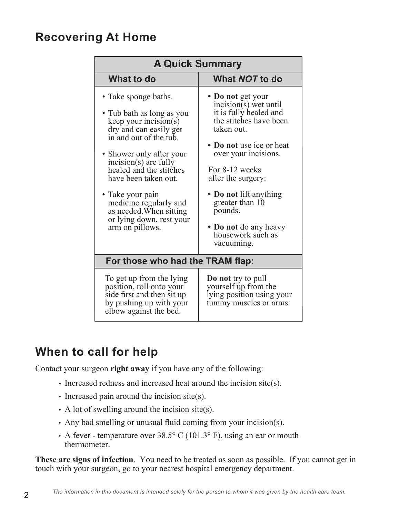### **Recovering At Home**

| <b>A Quick Summary</b>                                                                                                                                                                                                                                                                                                                                            |                                                                                                                                                                                                                                                                                                                                |  |
|-------------------------------------------------------------------------------------------------------------------------------------------------------------------------------------------------------------------------------------------------------------------------------------------------------------------------------------------------------------------|--------------------------------------------------------------------------------------------------------------------------------------------------------------------------------------------------------------------------------------------------------------------------------------------------------------------------------|--|
| What to do                                                                                                                                                                                                                                                                                                                                                        | What NOT to do                                                                                                                                                                                                                                                                                                                 |  |
| • Take sponge baths.<br>• Tub bath as long as you<br>keep your incision $(s)$<br>dry and can easily get<br>in and out of the tub.<br>• Shower only after your<br>incision(s) are fully<br>healed and the stitches<br>have been taken out.<br>• Take your pain<br>medicine regularly and<br>as needed. When sitting<br>or lying down, rest your<br>arm on pillows. | • Do not get your<br>$incision(s)$ wet until<br>it is fully healed and<br>the stitches have been<br>taken out.<br>• Do not use ice or heat<br>over your incisions.<br>For 8-12 weeks<br>after the surgery:<br>• Do not lift anything<br>greater than 10<br>pounds.<br>• Do not do any heavy<br>housework such as<br>vacuuming. |  |
| For those who had the TRAM flap:                                                                                                                                                                                                                                                                                                                                  |                                                                                                                                                                                                                                                                                                                                |  |
| To get up from the lying<br>position, roll onto your<br>side first and then sit up<br>by pushing up with your<br>elbow against the bed.                                                                                                                                                                                                                           | <b>Do not</b> try to pull<br>yourself up from the<br>lying position using your<br>tummy muscles or arms.                                                                                                                                                                                                                       |  |

### **When to call for help**

Contact your surgeon **right away** if you have any of the following:

- Increased redness and increased heat around the incision site(s).
- Increased pain around the incision site(s).
- A lot of swelling around the incision site(s).
- Any bad smelling or unusual fluid coming from your incision(s).
- A fever temperature over  $38.5^{\circ}$  C (101.3° F), using an ear or mouth thermometer.

**These are signs of infection**. You need to be treated as soon as possible. If you cannot get in touch with your surgeon, go to your nearest hospital emergency department.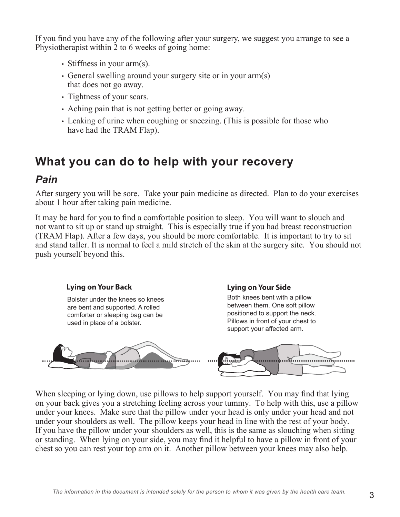If you find you have any of the following after your surgery, we suggest you arrange to see a Physiotherapist within 2 to 6 weeks of going home:

- Stiffness in your arm(s).
- General swelling around your surgery site or in your arm(s) that does not go away.
- Tightness of your scars.
- Aching pain that is not getting better or going away.
- Leaking of urine when coughing or sneezing. (This is possible for those who have had the TRAM Flap).

### **What you can do to help with your recovery**

### *Pain*

After surgery you will be sore. Take your pain medicine as directed. Plan to do your exercises about 1 hour after taking pain medicine.

It may be hard for you to find a comfortable position to sleep. You will want to slouch and not want to sit up or stand up straight. This is especially true if you had breast reconstruction (TRAM Flap). After a few days, you should be more comfortable. It is important to try to sit and stand taller. It is normal to feel a mild stretch of the skin at the surgery site. You should not push yourself beyond this.



When sleeping or lying down, use pillows to help support yourself. You may find that lying on your back gives you a stretching feeling across your tummy. To help with this, use a pillow under your knees. Make sure that the pillow under your head is only under your head and not under your shoulders as well. The pillow keeps your head in line with the rest of your body. If you have the pillow under your shoulders as well, this is the same as slouching when sitting or standing. When lying on your side, you may find it helpful to have a pillow in front of your chest so you can rest your top arm on it. Another pillow between your knees may also help.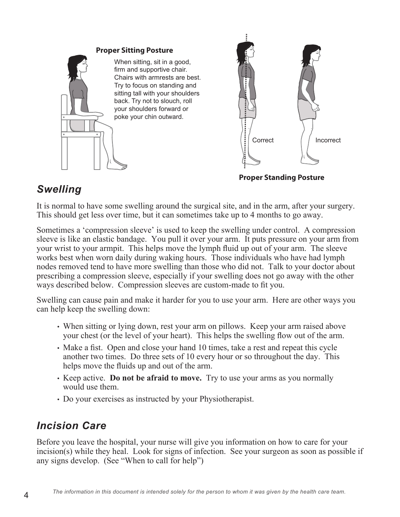

### *Swelling*

It is normal to have some swelling around the surgical site, and in the arm, after your surgery. This should get less over time, but it can sometimes take up to 4 months to go away.

Sometimes a 'compression sleeve' is used to keep the swelling under control. A compression sleeve is like an elastic bandage. You pull it over your arm. It puts pressure on your arm from your wrist to your armpit. This helps move the lymph fluid up out of your arm. The sleeve works best when worn daily during waking hours. Those individuals who have had lymph nodes removed tend to have more swelling than those who did not. Talk to your doctor about prescribing a compression sleeve, especially if your swelling does not go away with the other ways described below. Compression sleeves are custom-made to fit you.

Swelling can cause pain and make it harder for you to use your arm. Here are other ways you can help keep the swelling down:

- When sitting or lying down, rest your arm on pillows. Keep your arm raised above your chest (or the level of your heart). This helps the swelling flow out of the arm.
- Make a fist. Open and close your hand 10 times, take a rest and repeat this cycle another two times. Do three sets of 10 every hour or so throughout the day. This helps move the fluids up and out of the arm.
- Keep active. **Do not be afraid to move.** Try to use your arms as you normally would use them.
- Do your exercises as instructed by your Physiotherapist.

### *Incision Care*

Before you leave the hospital, your nurse will give you information on how to care for your incision(s) while they heal. Look for signs of infection. See your surgeon as soon as possible if any signs develop. (See "When to call for help")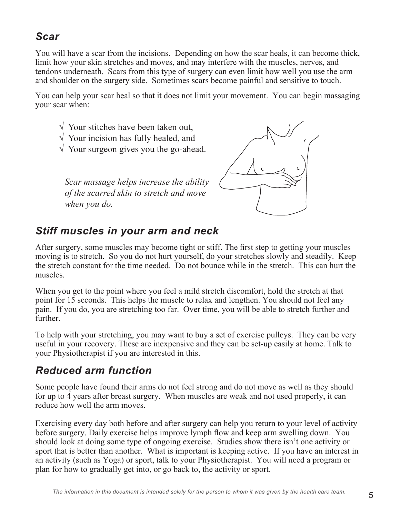### *Scar*

You will have a scar from the incisions. Depending on how the scar heals, it can become thick, limit how your skin stretches and moves, and may interfere with the muscles, nerves, and tendons underneath. Scars from this type of surgery can even limit how well you use the arm and shoulder on the surgery side. Sometimes scars become painful and sensitive to touch.

You can help your scar heal so that it does not limit your movement. You can begin massaging your scar when:

- $\sqrt{\ }$  Your stitches have been taken out.
- √ Your incision has fully healed, and
- $\sqrt{\ }$  Your surgeon gives you the go-ahead.

*Scar massage helps increase the ability of the scarred skin to stretch and move when you do.*



### *Stiff muscles in your arm and neck*

After surgery, some muscles may become tight or stiff. The first step to getting your muscles moving is to stretch. So you do not hurt yourself, do your stretches slowly and steadily. Keep the stretch constant for the time needed. Do not bounce while in the stretch. This can hurt the muscles.

When you get to the point where you feel a mild stretch discomfort, hold the stretch at that point for 15 seconds. This helps the muscle to relax and lengthen. You should not feel any pain. If you do, you are stretching too far. Over time, you will be able to stretch further and further.

To help with your stretching, you may want to buy a set of exercise pulleys. They can be very useful in your recovery. These are inexpensive and they can be set-up easily at home. Talk to your Physiotherapist if you are interested in this.

### *Reduced arm function*

Some people have found their arms do not feel strong and do not move as well as they should for up to 4 years after breast surgery. When muscles are weak and not used properly, it can reduce how well the arm moves.

Exercising every day both before and after surgery can help you return to your level of activity before surgery. Daily exercise helps improve lymph flow and keep arm swelling down. You should look at doing some type of ongoing exercise. Studies show there isn't one activity or sport that is better than another. What is important is keeping active. If you have an interest in an activity (such as Yoga) or sport, talk to your Physiotherapist. You will need a program or plan for how to gradually get into, or go back to, the activity or sport.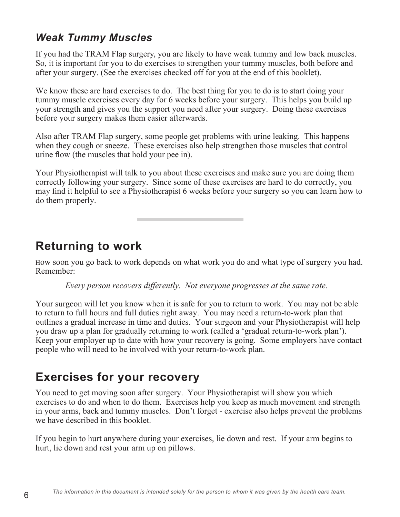### *Weak Tummy Muscles*

If you had the TRAM Flap surgery, you are likely to have weak tummy and low back muscles. So, it is important for you to do exercises to strengthen your tummy muscles, both before and after your surgery. (See the exercises checked off for you at the end of this booklet).

We know these are hard exercises to do. The best thing for you to do is to start doing your tummy muscle exercises every day for 6 weeks before your surgery. This helps you build up your strength and gives you the support you need after your surgery. Doing these exercises before your surgery makes them easier afterwards.

Also after TRAM Flap surgery, some people get problems with urine leaking. This happens when they cough or sneeze. These exercises also help strengthen those muscles that control urine flow (the muscles that hold your pee in).

Your Physiotherapist will talk to you about these exercises and make sure you are doing them correctly following your surgery. Since some of these exercises are hard to do correctly, you may find it helpful to see a Physiotherapist 6 weeks before your surgery so you can learn how to do them properly.

**Returning to work**

How soon you go back to work depends on what work you do and what type of surgery you had. Remember:

*Every person recovers differently. Not everyone progresses at the same rate.*

Your surgeon will let you know when it is safe for you to return to work. You may not be able to return to full hours and full duties right away. You may need a return-to-work plan that outlines a gradual increase in time and duties. Your surgeon and your Physiotherapist will help you draw up a plan for gradually returning to work (called a 'gradual return-to-work plan'). Keep your employer up to date with how your recovery is going. Some employers have contact people who will need to be involved with your return-to-work plan.

### **Exercises for your recovery**

You need to get moving soon after surgery. Your Physiotherapist will show you which exercises to do and when to do them. Exercises help you keep as much movement and strength in your arms, back and tummy muscles. Don't forget - exercise also helps prevent the problems we have described in this booklet.

If you begin to hurt anywhere during your exercises, lie down and rest. If your arm begins to hurt, lie down and rest your arm up on pillows.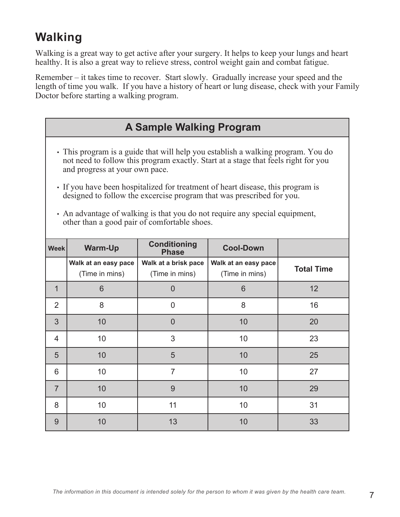## **Walking**

Walking is a great way to get active after your surgery. It helps to keep your lungs and heart healthy. It is also a great way to relieve stress, control weight gain and combat fatigue.

Remember – it takes time to recover. Start slowly. Gradually increase your speed and the length of time you walk. If you have a history of heart or lung disease, check with your Family Doctor before starting a walking program.

| <b>A Sample Walking Program</b>                                                                                                                                                                                                                                                                                                                                                                                                                                                                     |                      |                                     |                      |                   |
|-----------------------------------------------------------------------------------------------------------------------------------------------------------------------------------------------------------------------------------------------------------------------------------------------------------------------------------------------------------------------------------------------------------------------------------------------------------------------------------------------------|----------------------|-------------------------------------|----------------------|-------------------|
| · This program is a guide that will help you establish a walking program. You do<br>not need to follow this program exactly. Start at a stage that feels right for you<br>and progress at your own pace.<br>• If you have been hospitalized for treatment of heart disease, this program is<br>designed to follow the excercise program that was prescribed for you.<br>• An advantage of walking is that you do not require any special equipment,<br>other than a good pair of comfortable shoes. |                      |                                     |                      |                   |
| <b>Week</b>                                                                                                                                                                                                                                                                                                                                                                                                                                                                                         | <b>Warm-Up</b>       | <b>Conditioning</b><br><b>Phase</b> | <b>Cool-Down</b>     |                   |
|                                                                                                                                                                                                                                                                                                                                                                                                                                                                                                     | Walk at an easy pace | Walk at a brisk pace                | Walk at an easy pace |                   |
|                                                                                                                                                                                                                                                                                                                                                                                                                                                                                                     | (Time in mins)       | (Time in mins)                      | (Time in mins)       | <b>Total Time</b> |
| 1                                                                                                                                                                                                                                                                                                                                                                                                                                                                                                   | 6                    | $\overline{0}$                      | 6                    | 12                |
| $\overline{2}$                                                                                                                                                                                                                                                                                                                                                                                                                                                                                      | 8                    | $\overline{0}$                      | 8                    | 16                |
| 3                                                                                                                                                                                                                                                                                                                                                                                                                                                                                                   | 10                   | $\Omega$                            | 10                   | 20                |
| 4                                                                                                                                                                                                                                                                                                                                                                                                                                                                                                   | 10                   | 3                                   | 10                   | 23                |
| 5                                                                                                                                                                                                                                                                                                                                                                                                                                                                                                   | 10                   | 5                                   | 10                   | 25                |

7 10 9 10 29

8 10 11 10 31

9 | 10 | 13 | 10 | 33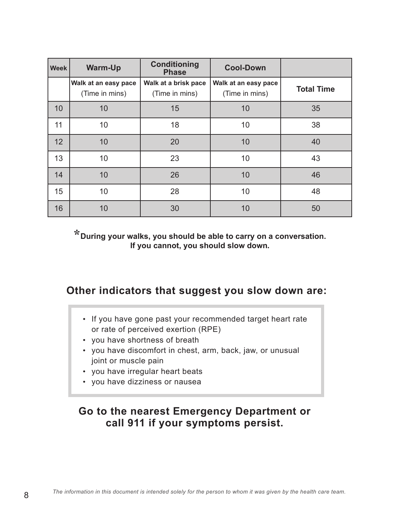| <b>Week</b> | <b>Warm-Up</b>                         | <b>Conditioning</b><br><b>Phase</b>    | <b>Cool-Down</b>                       |                   |
|-------------|----------------------------------------|----------------------------------------|----------------------------------------|-------------------|
|             | Walk at an easy pace<br>(Time in mins) | Walk at a brisk pace<br>(Time in mins) | Walk at an easy pace<br>(Time in mins) | <b>Total Time</b> |
| 10          | 10                                     | 15                                     | 10                                     | 35                |
| 11          | 10                                     | 18                                     | 10                                     | 38                |
| 12          | 10                                     | 20                                     | 10                                     | 40                |
| 13          | 10                                     | 23                                     | 10                                     | 43                |
| 14          | 10                                     | 26                                     | 10                                     | 46                |
| 15          | 10                                     | 28                                     | 10                                     | 48                |
| 16          | 10                                     | 30                                     | 10                                     | 50                |

**\*During your walks, you should be able to carry on a conversation. If you cannot, you should slow down.**

### **Other indicators that suggest you slow down are:**

- If you have gone past your recommended target heart rate or rate of perceived exertion (RPE)
- you have shortness of breath
- you have discomfort in chest, arm, back, jaw, or unusual joint or muscle pain
- you have irregular heart beats
- you have dizziness or nausea

### **Go to the nearest Emergency Department or call 911 if your symptoms persist.**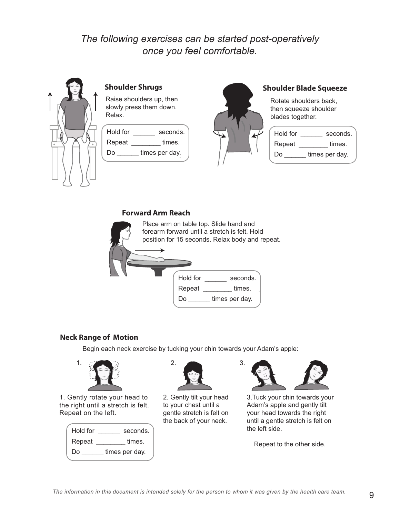### *The following exercises can be started post-operatively once you feel comfortable.*



Raise shoulders up, then slowly press them down. Relax.

| Hold for | seconds.       |
|----------|----------------|
| Repeat   | times.         |
| Do       | times per day. |



### **Shoulder Shrugs Shoulder Blade Squeeze**

Rotate shoulders back, then squeeze shoulder blades together.

| seconds.       |
|----------------|
| times.         |
| times per day. |
|                |

#### **Forward Arm Reach**



#### **Neck Range of Motion**

Begin each neck exercise by tucking your chin towards your Adam's apple:



1. Gently rotate your head to the right until a stretch is felt. Repeat on the left.

| Hold for | seconds.       |
|----------|----------------|
| Repeat   | times.         |
| Do       | times per day. |



2. Gently tilt your head to your chest until a gentle stretch is felt on the back of your neck.



3.Tuck your chin towards your Adam's apple and gently tilt your head towards the right until a gentle stretch is felt on the left side.

Repeat to the other side.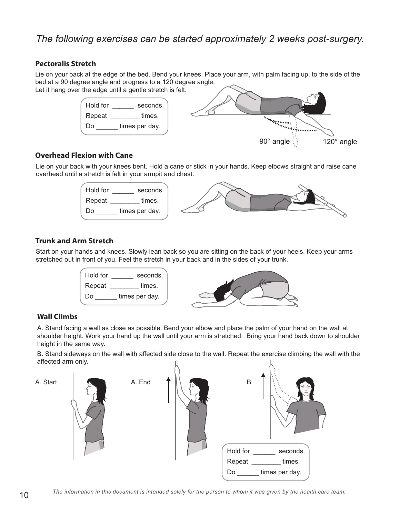### *The following exercises can be started approximately 2 weeks post-surgery.*

#### **Pectoralis Stretch**

Lie on your back at the edge of the bed. Bend your knees. Place your arm, with palm facing up, to the side of the bed at a 90 degree angle and progress to a 120 degree angle.

Let it hang over the edge until a gentle stretch is felt.



#### **Overhead Flexion with Cane**

Lie on your back with your knees bent. Hold a cane or stick in your hands. Keep elbows straight and raise cane overhead until a stretch is felt in your armpit and chest.



#### **Trunk and Arm Stretch**

Start on your hands and knees. Slowly lean back so you are sitting on the back of your heels. Keep your arms stretched out in front of you. Feel the stretch in your back and in the sides of your trunk.



#### **Wall Climbs**

A. Stand facing a wall as close as possible. Bend your elbow and place the palm of your hand on the wall at shoulder height. Work your hand up the wall until your arm is stretched. Bring your hand back down to shoulder height in the same way.

B. Stand sideways on the wall with affected side close to the wall. Repeat the exercise climbing the wall with the affected arm only.

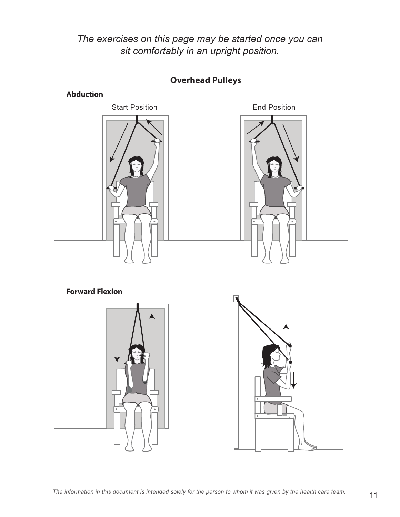*The exercises on this page may be started once you can sit comfortably in an upright position.*



### **Overhead Pulleys**

### **Forward Flexion**



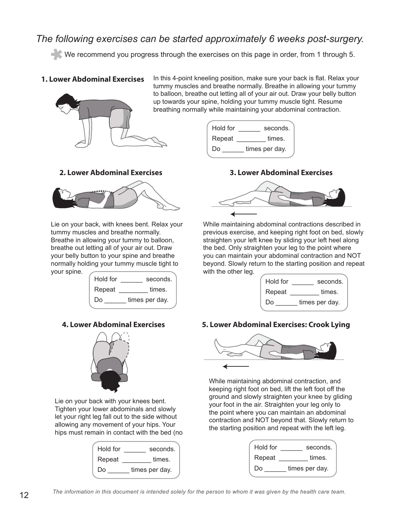### *The following exercises can be started approximately 6 weeks post-surgery.*

We recommend you progress through the exercises on this page in order, from 1 through 5.

#### **1. Lower Abdominal Exercises**



In this 4-point kneeling position, make sure your back is flat. Relax your tummy muscles and breathe normally. Breathe in allowing your tummy to balloon, breathe out letting all of your air out. Draw your belly button up towards your spine, holding your tummy muscle tight. Resume breathing normally while maintaining your abdominal contraction.





Lie on your back, with knees bent. Relax your tummy muscles and breathe normally. Breathe in allowing your tummy to balloon, breathe out letting all of your air out. Draw your belly button to your spine and breathe normally holding your tummy muscle tight to your spine.



#### **4. Lower Abdominal Exercises**



Lie on your back with your knees bent. Tighten your lower abdominals and slowly let your right leg fall out to the side without allowing any movement of your hips. Your hips must remain in contact with the bed (no

| Hold for | seconds.       |
|----------|----------------|
| Repeat   | times.         |
| Do       | times per day. |





While maintaining abdominal contractions described in previous exercise, and keeping right foot on bed, slowly straighten your left knee by sliding your left heel along the bed. Only straighten your leg to the point where you can maintain your abdominal contraction and NOT beyond. Slowly return to the starting position and repeat with the other leg.

| Hold for | seconds.       |
|----------|----------------|
| Repeat   | times.         |
| Do       | times per day. |

#### **5. Lower Abdominal Exercises: Crook Lying**



While maintaining abdominal contraction, and keeping right foot on bed, lift the left foot off the ground and slowly straighten your knee by gliding your foot in the air. Straighten your leg only to the point where you can maintain an abdominal contraction and NOT beyond that. Slowly return to the starting position and repeat with the left leg.

| Hold for | seconds.       |
|----------|----------------|
| Repeat   | times.         |
| Do       | times per day. |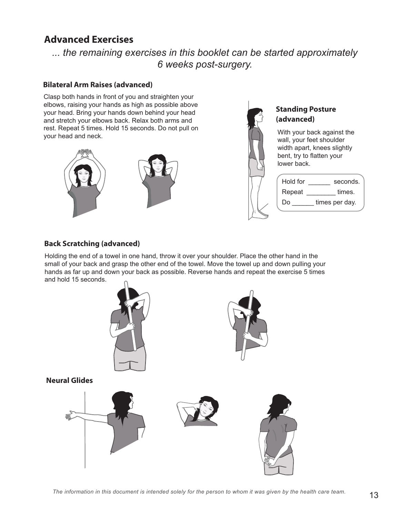### **Advanced Exercises**

*... the remaining exercises in this booklet can be started approximately 6 weeks post-surgery.*

#### **Bilateral Arm Raises (advanced)**

Clasp both hands in front of you and straighten your elbows, raising your hands as high as possible above your head. Bring your hands down behind your head and stretch your elbows back. Relax both arms and rest. Repeat 5 times. Hold 15 seconds. Do not pull on your head and neck.





#### **Standing Posture (advanced)**

With your back against the wall, your feet shoulder width apart, knees slightly bent, try to flatten your lower back.

| Hold for | seconds.       |
|----------|----------------|
| Repeat   | times.         |
| Do       | times per day. |
|          |                |

#### **Back Scratching (advanced)**

Holding the end of a towel in one hand, throw it over your shoulder. Place the other hand in the small of your back and grasp the other end of the towel. Move the towel up and down pulling your hands as far up and down your back as possible. Reverse hands and repeat the exercise 5 times and hold 15 seconds.

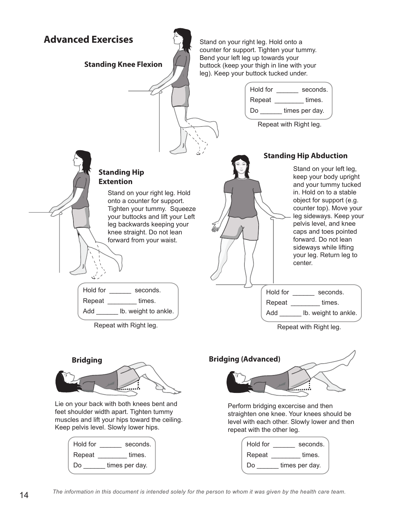

Lie on your back with both knees bent and feet shoulder width apart. Tighten tummy muscles and lift your hips toward the ceiling. Keep pelvis level. Slowly lower hips.

| Hold for | seconds.       |
|----------|----------------|
| Repeat   | times.         |
| Do       | times per day. |

mmanda<br>Tanzania Perform bridging excercise and then

straighten one knee. Your knees should be level with each other. Slowly lower and then repeat with the other leg.

| Hold for | seconds.       |
|----------|----------------|
| Repeat   | times.         |
| Do       | times per day. |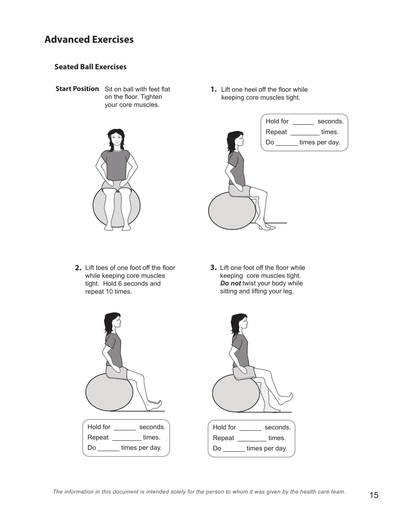### **Advanced Exercises**

#### **Seated Ball Exercises**

Start Position Sit on ball with feet flat on the floor. Tighten your core muscles.



1. Lift one heel off the floor while keeping core muscles tight.



- Lift toes of one foot off the floor **2. 3.** while keeping core muscles tight. Hold 6 seconds and repeat 10 times.
- **3.** Lift one foot off the floor while keeping core muscles tight. *Do not* twist your body while sitting and lifting your leg.



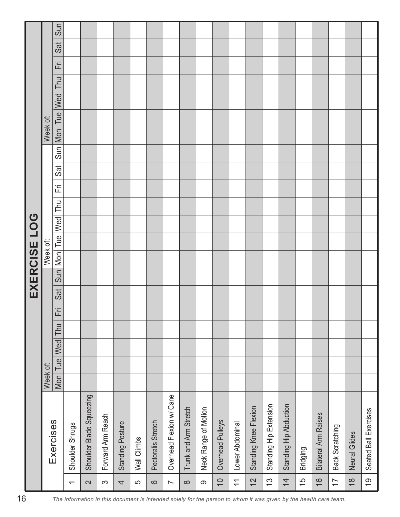|                                                                                                                  |                          |                             |          |     |     |     |   |     |     | EXERCISE LOG |     |     |   |     |     |          |     |     |            |   |     |     |
|------------------------------------------------------------------------------------------------------------------|--------------------------|-----------------------------|----------|-----|-----|-----|---|-----|-----|--------------|-----|-----|---|-----|-----|----------|-----|-----|------------|---|-----|-----|
|                                                                                                                  |                          |                             | Week of: |     |     |     |   |     |     | Week of:     |     |     |   |     |     | Week of: |     |     |            |   |     |     |
|                                                                                                                  |                          | Exercises                   | Mon      | Tue | Wed | Thu | 置 | Sat | Sun | Mon Tue      | Wed | Thu | 迂 | Sat | Sun | Mon      | Tue | Wed | <b>Thu</b> | 正 | Sat | Sun |
|                                                                                                                  | $\overline{\phantom{0}}$ | Shoulder Shrugs             |          |     |     |     |   |     |     |              |     |     |   |     |     |          |     |     |            |   |     |     |
|                                                                                                                  | $\boldsymbol{\sim}$      | Shoulder Blade Squeezing    |          |     |     |     |   |     |     |              |     |     |   |     |     |          |     |     |            |   |     |     |
|                                                                                                                  | $\infty$                 | Forward Arm Reach           |          |     |     |     |   |     |     |              |     |     |   |     |     |          |     |     |            |   |     |     |
| The information in this document is intended solely for the person to whom it was given by the health care team. | 4                        | Standing Posture            |          |     |     |     |   |     |     |              |     |     |   |     |     |          |     |     |            |   |     |     |
|                                                                                                                  | 5                        | Wall Climbs                 |          |     |     |     |   |     |     |              |     |     |   |     |     |          |     |     |            |   |     |     |
|                                                                                                                  | $\mathbf{\Omega}$        | Pectoralis Stretch          |          |     |     |     |   |     |     |              |     |     |   |     |     |          |     |     |            |   |     |     |
|                                                                                                                  | $\overline{\phantom{a}}$ | Overhead Flexion w/ Cane    |          |     |     |     |   |     |     |              |     |     |   |     |     |          |     |     |            |   |     |     |
|                                                                                                                  | $\infty$                 | Trunk and Arm Stretch       |          |     |     |     |   |     |     |              |     |     |   |     |     |          |     |     |            |   |     |     |
|                                                                                                                  | $\infty$                 | Neck Range of Motion        |          |     |     |     |   |     |     |              |     |     |   |     |     |          |     |     |            |   |     |     |
|                                                                                                                  | $\overline{C}$           | Overhead Pulleys            |          |     |     |     |   |     |     |              |     |     |   |     |     |          |     |     |            |   |     |     |
|                                                                                                                  | $\overline{\mathbf{r}}$  | Lower Abdominal             |          |     |     |     |   |     |     |              |     |     |   |     |     |          |     |     |            |   |     |     |
|                                                                                                                  | $\frac{2}{3}$            | Standing Knee Flexion       |          |     |     |     |   |     |     |              |     |     |   |     |     |          |     |     |            |   |     |     |
|                                                                                                                  | $\frac{3}{2}$            | Standing Hip Extension      |          |     |     |     |   |     |     |              |     |     |   |     |     |          |     |     |            |   |     |     |
|                                                                                                                  | $\overline{4}$           | Standing Hip Abduction      |          |     |     |     |   |     |     |              |     |     |   |     |     |          |     |     |            |   |     |     |
|                                                                                                                  | $\frac{5}{1}$            | <b>Bridging</b>             |          |     |     |     |   |     |     |              |     |     |   |     |     |          |     |     |            |   |     |     |
|                                                                                                                  | $\frac{6}{1}$            | <b>Bilateral Arm Raises</b> |          |     |     |     |   |     |     |              |     |     |   |     |     |          |     |     |            |   |     |     |
|                                                                                                                  | $\overline{1}$           | Back Scratching             |          |     |     |     |   |     |     |              |     |     |   |     |     |          |     |     |            |   |     |     |
|                                                                                                                  | $\frac{8}{10}$           | Neural Glides               |          |     |     |     |   |     |     |              |     |     |   |     |     |          |     |     |            |   |     |     |
|                                                                                                                  | $\overline{6}$           | Seated Ball Exercises       |          |     |     |     |   |     |     |              |     |     |   |     |     |          |     |     |            |   |     |     |